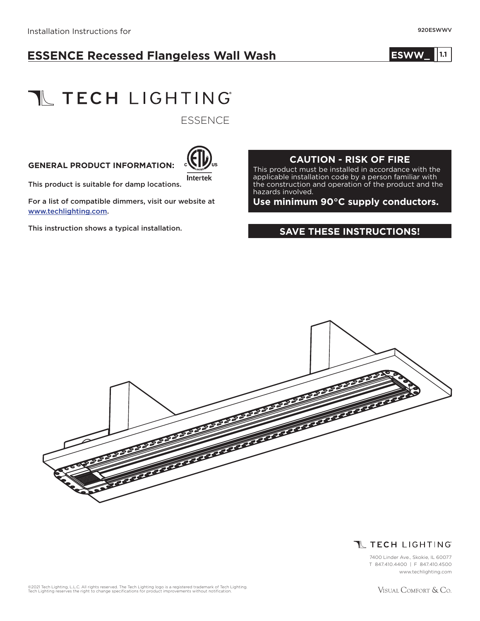## **ESSENCE Recessed Flangeless Wall Wash**

#### **ESWW\_ 1.0 1.1**

# **TL TECH LIGHTING**

**ESSENCE** 

#### **GENERAL PRODUCT INFORMATION:**



This product is suitable for damp locations.

For a list of compatible dimmers, visit our website at www.techlighting.com.

This instruction shows a typical installation.

#### **CAUTION - RISK OF FIRE**

This product must be installed in accordance with the applicable installation code by a person familiar with the construction and operation of the product and the hazards involved.

**Use minimum 90°C supply conductors.**

#### **SAVE THESE INSTRUCTIONS!**





7400 Linder Ave., Skokie, IL 60077 T 847.410.4400 | F 847.410.4500 www.techlighting.com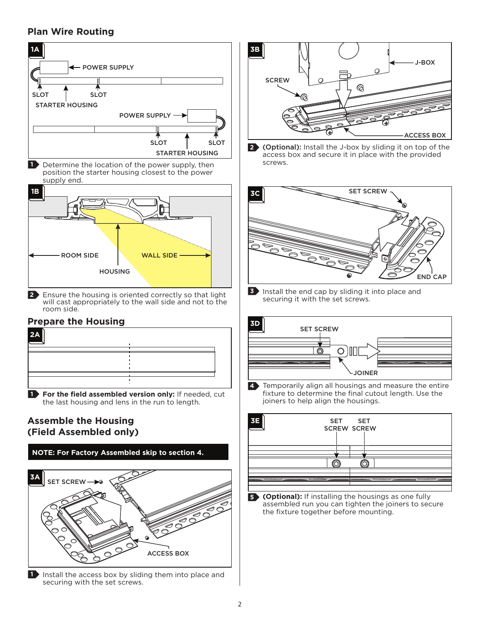### **Plan Wire Routing**



**1** Install the access box by sliding them into place and securing with the set screws.



**2** (Optional): Install the J-box by sliding it on top of the access box and secure it in place with the provided screws.



**3** Install the end cap by sliding it into place and securing it with the set screws.



**4** Temporarily align all housings and measure the entire fixture to determine the final cutout length. Use the joiners to help align the housings.



**(Optional):** If installing the housings as one fully **5** assembled run you can tighten the joiners to secure the fixture together before mounting.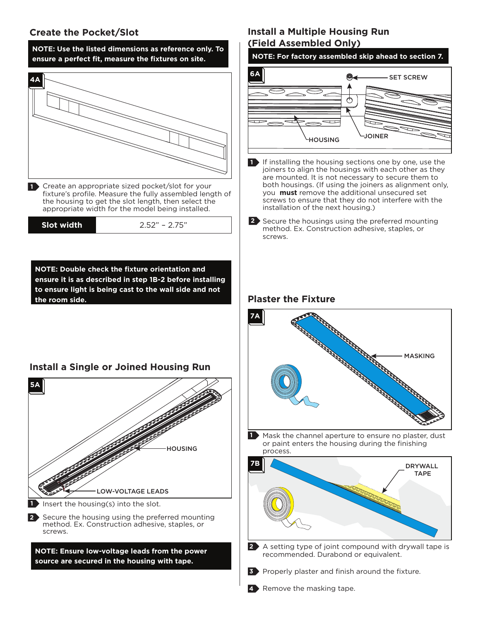#### **Create the Pocket/Slot**



#### **Install a Multiple Housing Run (Field Assembled Only)**



4 Remove the masking tape.